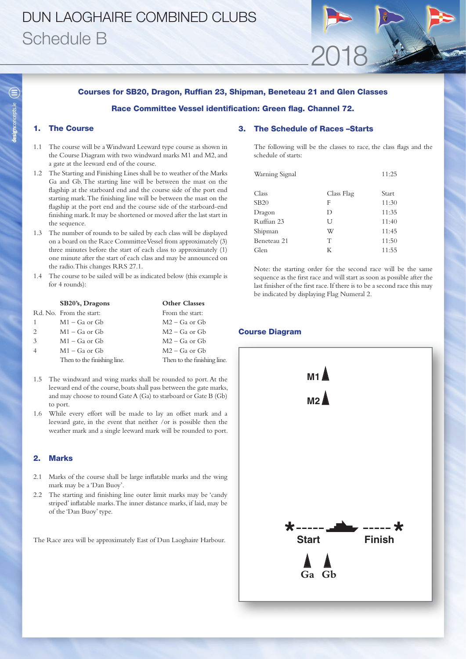# DUN LAOGHAIRE COMBINED CLUBS Schedule B

## Courses for SB20, Dragon, Ruffian 23, Shipman, Beneteau 21 and Glen Classes

# Race Committee Vessel identification: Green flag. Channel 72.

# 1. The Course

- 1.1 The course will be a Windward Leeward type course as shown in the Course Diagram with two windward marks M1 and M2, and a gate at the leeward end of the course.
- 1.2 The Starting and Finishing Lines shall be to weather of the Marks Ga and Gb. The starting line will be between the mast on the flagship at the starboard end and the course side of the port end starting mark. The finishing line will be between the mast on the flagship at the port end and the course side of the starboard-end finishing mark. It may be shortened or moved after the last start in the sequence.
- 1.3 The number of rounds to be sailed by each class will be displayed on a board on the Race Committee Vessel from approximately (3) three minutes before the start of each class to approximately (1) one minute after the start of each class and may be announced on the radio. This changes RRS 27.1.
- 1.4 The course to be sailed will be as indicated below (this example is for 4 rounds):

|                             | SB20's, Dragons             | <b>Other Classes</b>        |
|-----------------------------|-----------------------------|-----------------------------|
|                             | Rd. No. From the start:     | From the start:             |
| 1                           | $M1 - Ga$ or $Gb$           | $M2 - Ga$ or $Gb$           |
| $\mathcal{D}_{\mathcal{L}}$ | $M1 - Ga$ or $Gb$           | $M2 - Ga$ or $Gb$           |
| 3                           | $M1 - Ga$ or $Gb$           | $M2 - Ga$ or $Gb$           |
|                             | $M1 - Ga$ or $Gb$           | $M2 - Ga$ or $Gb$           |
|                             | Then to the finishing line. | Then to the finishing line. |
|                             |                             |                             |

- 1.5 The windward and wing marks shall be rounded to port. At the leeward end of the course, boats shall pass between the gate marks, and may choose to round Gate A (Ga) to starboard or Gate B (Gb) to port.
- 1.6 While every effort will be made to lay an offset mark and a leeward gate, in the event that neither /or is possible then the weather mark and a single leeward mark will be rounded to port.

### 2. Marks

- 2.1 Marks of the course shall be large inflatable marks and the wing mark may be a 'Dan Buoy'.
- 2.2 The starting and finishing line outer limit marks may be 'candy striped' inflatable marks. The inner distance marks, if laid, may be of the 'Dan Buoy' type.

The Race area will be approximately East of Dun Laoghaire Harbour.

### 3. The Schedule of Races –Starts

The following will be the classes to race, the class flags and the schedule of starts:

2018

| Warning Signal |            | 11:25 |
|----------------|------------|-------|
| Class          | Class Flag | Start |
| <b>SB20</b>    | F          | 11:30 |
| Dragon         | D          | 11:35 |
| Ruffian 23     | U          | 11:40 |
| Shipman        | W          | 11:45 |
| Beneteau 21    | Т          | 11:50 |
| Glen           | К          | 11:55 |

Note: the starting order for the second race will be the same sequence as the first race and will start as soon as possible after the last finisher of the first race. If there is to be a second race this may be indicated by displaying Flag Numeral 2.



## Course Diagram